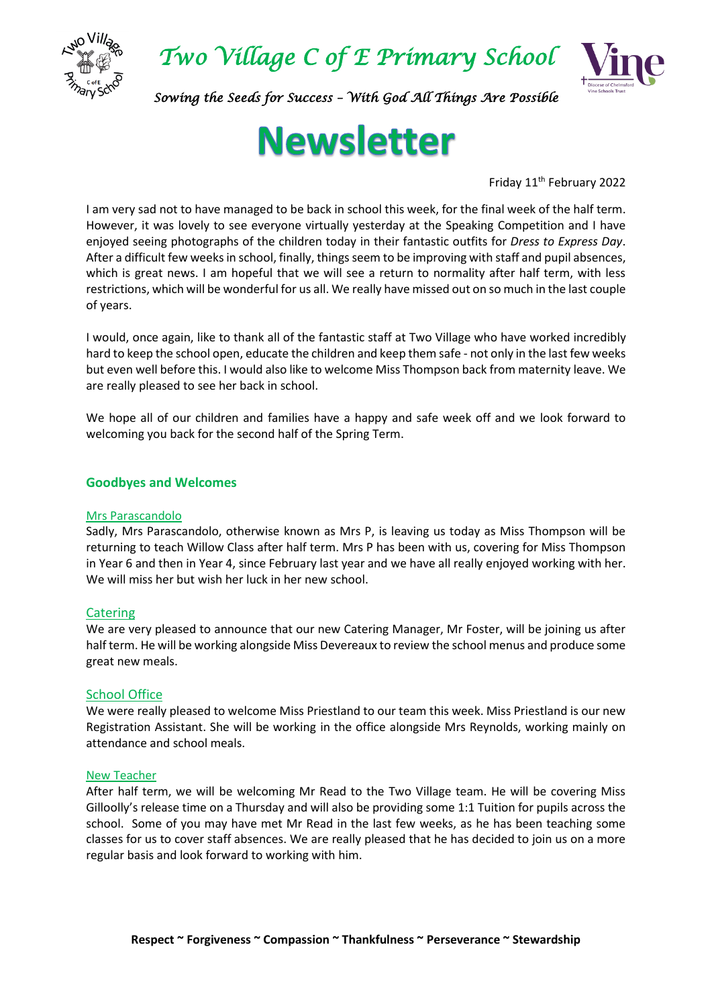



*Sowing the Seeds for Success – With God All Things Are Possible* 

# **Newsletter**

Friday 11<sup>th</sup> February 2022

I am very sad not to have managed to be back in school this week, for the final week of the half term. However, it was lovely to see everyone virtually yesterday at the Speaking Competition and I have enjoyed seeing photographs of the children today in their fantastic outfits for *Dress to Express Day*. After a difficult few weeks in school, finally, things seem to be improving with staff and pupil absences, which is great news. I am hopeful that we will see a return to normality after half term, with less restrictions, which will be wonderful for us all. We really have missed out on so much in the last couple of years.

I would, once again, like to thank all of the fantastic staff at Two Village who have worked incredibly hard to keep the school open, educate the children and keep them safe - not only in the last few weeks but even well before this. I would also like to welcome Miss Thompson back from maternity leave. We are really pleased to see her back in school.

We hope all of our children and families have a happy and safe week off and we look forward to welcoming you back for the second half of the Spring Term.

## **Goodbyes and Welcomes**

#### Mrs Parascandolo

Sadly, Mrs Parascandolo, otherwise known as Mrs P, is leaving us today as Miss Thompson will be returning to teach Willow Class after half term. Mrs P has been with us, covering for Miss Thompson in Year 6 and then in Year 4, since February last year and we have all really enjoyed working with her. We will miss her but wish her luck in her new school.

#### **Catering**

We are very pleased to announce that our new Catering Manager, Mr Foster, will be joining us after half term. He will be working alongside Miss Devereaux to review the school menus and produce some great new meals.

#### School Office

We were really pleased to welcome Miss Priestland to our team this week. Miss Priestland is our new Registration Assistant. She will be working in the office alongside Mrs Reynolds, working mainly on attendance and school meals.

#### New Teacher

After half term, we will be welcoming Mr Read to the Two Village team. He will be covering Miss Gilloolly's release time on a Thursday and will also be providing some 1:1 Tuition for pupils across the school. Some of you may have met Mr Read in the last few weeks, as he has been teaching some classes for us to cover staff absences. We are really pleased that he has decided to join us on a more regular basis and look forward to working with him.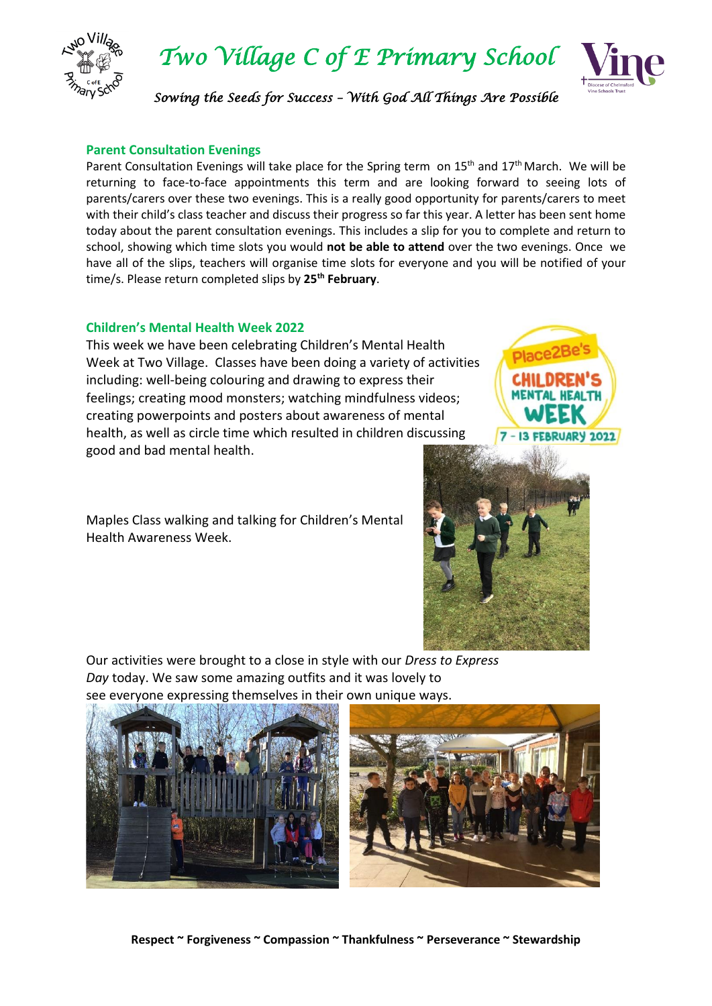

*Two Village C of E Primary School* 



*Sowing the Seeds for Success – With God All Things Are Possible* 

# **Parent Consultation Evenings**

Parent Consultation Evenings will take place for the Spring term on 15<sup>th</sup> and 17<sup>th</sup> March. We will be returning to face-to-face appointments this term and are looking forward to seeing lots of parents/carers over these two evenings. This is a really good opportunity for parents/carers to meet with their child's class teacher and discuss their progress so far this year. A letter has been sent home today about the parent consultation evenings. This includes a slip for you to complete and return to school, showing which time slots you would **not be able to attend** over the two evenings. Once we have all of the slips, teachers will organise time slots for everyone and you will be notified of your time/s. Please return completed slips by **25th February**.

# **Children's Mental Health Week 2022**

This week we have been celebrating Children's Mental Health Week at Two Village. Classes have been doing a variety of activities including: well-being colouring and drawing to express their feelings; creating mood monsters; watching mindfulness videos; creating powerpoints and posters about awareness of mental health, as well as circle time which resulted in children discussing good and bad mental health.

Maples Class walking and talking for Children's Mental Health Awareness Week.



Our activities were brought to a close in style with our *Dress to Express Day* today. We saw some amazing outfits and it was lovely to see everyone expressing themselves in their own unique ways.

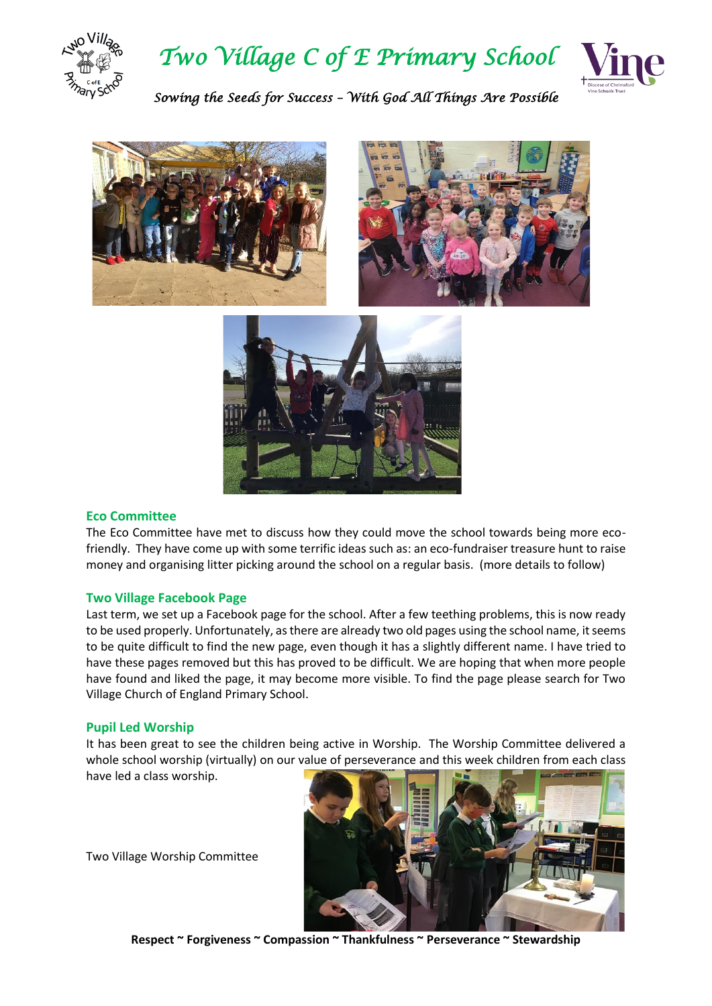



*Sowing the Seeds for Success – With God All Things Are Possible* 



#### **Eco Committee**

The Eco Committee have met to discuss how they could move the school towards being more ecofriendly. They have come up with some terrific ideas such as: an eco-fundraiser treasure hunt to raise money and organising litter picking around the school on a regular basis. (more details to follow)

#### **Two Village Facebook Page**

Last term, we set up a Facebook page for the school. After a few teething problems, this is now ready to be used properly. Unfortunately, as there are already two old pages using the school name, it seems to be quite difficult to find the new page, even though it has a slightly different name. I have tried to have these pages removed but this has proved to be difficult. We are hoping that when more people have found and liked the page, it may become more visible. To find the page please search for Two Village Church of England Primary School.

#### **Pupil Led Worship**

It has been great to see the children being active in Worship. The Worship Committee delivered a whole school worship (virtually) on our value of perseverance and this week children from each class have led a class worship.

Two Village Worship Committee



**Respect ~ Forgiveness ~ Compassion ~ Thankfulness ~ Perseverance ~ Stewardship**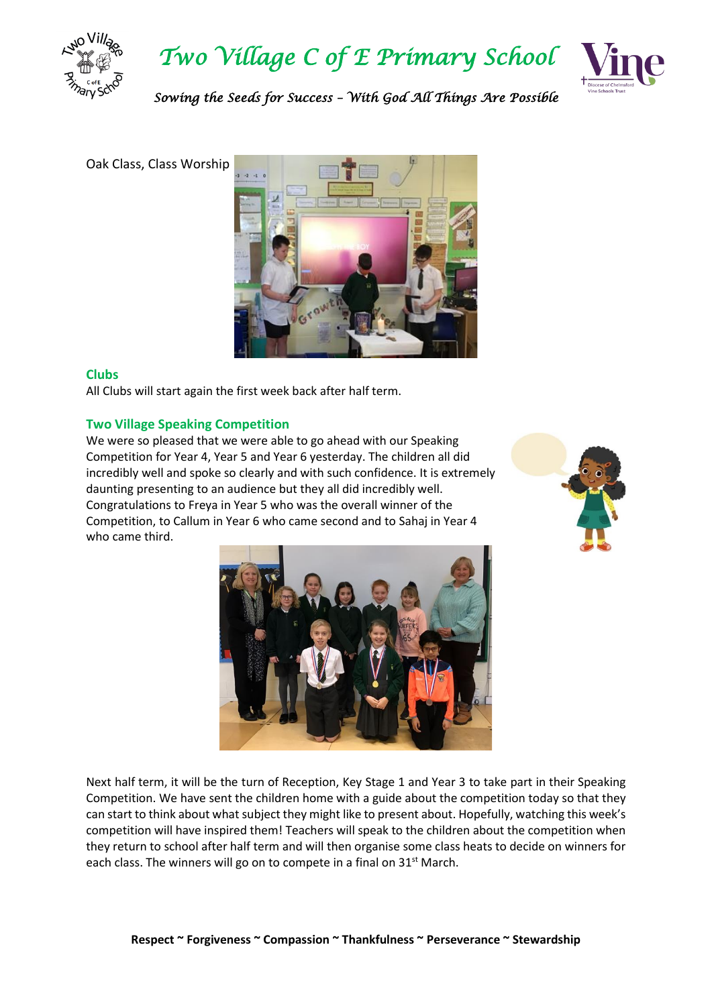



*Sowing the Seeds for Success – With God All Things Are Possible* 

Oak Class, Class Worship



## **Clubs**

All Clubs will start again the first week back after half term.

# **Two Village Speaking Competition**

We were so pleased that we were able to go ahead with our Speaking Competition for Year 4, Year 5 and Year 6 yesterday. The children all did incredibly well and spoke so clearly and with such confidence. It is extremely daunting presenting to an audience but they all did incredibly well. Congratulations to Freya in Year 5 who was the overall winner of the Competition, to Callum in Year 6 who came second and to Sahaj in Year 4 who came third.





Next half term, it will be the turn of Reception, Key Stage 1 and Year 3 to take part in their Speaking Competition. We have sent the children home with a guide about the competition today so that they can start to think about what subject they might like to present about. Hopefully, watching this week's competition will have inspired them! Teachers will speak to the children about the competition when they return to school after half term and will then organise some class heats to decide on winners for each class. The winners will go on to compete in a final on  $31<sup>st</sup>$  March.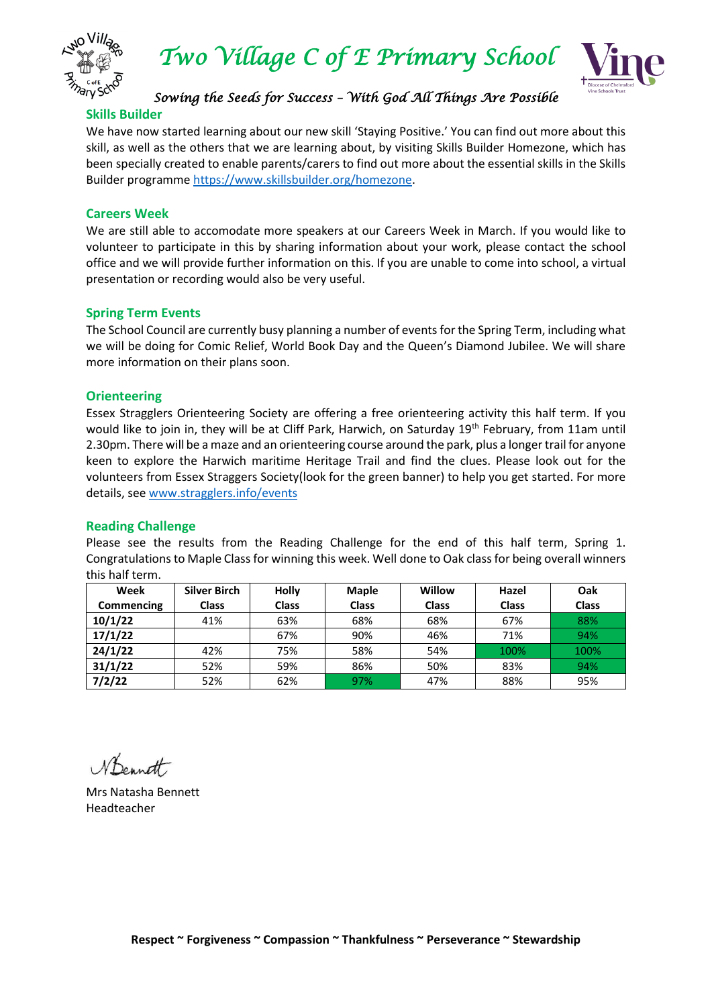



# *Sowing the Seeds for Success – With God All Things Are Possible*

#### **Skills Builder**

We have now started learning about our new skill 'Staying Positive.' You can find out more about this skill, as well as the others that we are learning about, by visiting Skills Builder Homezone, which has been specially created to enable parents/carers to find out more about the essential skills in the Skills Builder programm[e https://www.skillsbuilder.org/homezone.](https://www.skillsbuilder.org/homezone)

## **Careers Week**

We are still able to accomodate more speakers at our Careers Week in March. If you would like to volunteer to participate in this by sharing information about your work, please contact the school office and we will provide further information on this. If you are unable to come into school, a virtual presentation or recording would also be very useful.

## **Spring Term Events**

The School Council are currently busy planning a number of events for the Spring Term, including what we will be doing for Comic Relief, World Book Day and the Queen's Diamond Jubilee. We will share more information on their plans soon.

## **Orienteering**

Essex Stragglers Orienteering Society are offering a free orienteering activity this half term. If you would like to join in, they will be at Cliff Park, Harwich, on Saturday 19<sup>th</sup> February, from 11am until 2.30pm. There will be a maze and an orienteering course around the park, plus a longer trail for anyone keen to explore the Harwich maritime Heritage Trail and find the clues. Please look out for the volunteers from Essex Straggers Society(look for the green banner) to help you get started. For more details, se[e www.stragglers.info/events](http://www.stragglers.info/events)

#### **Reading Challenge**

Please see the results from the Reading Challenge for the end of this half term, Spring 1. Congratulations to Maple Class for winning this week. Well done to Oak class for being overall winners this half term.

| Week              | <b>Silver Birch</b> | <b>Holly</b> | <b>Maple</b> | Willow       | Hazel        | Oak          |
|-------------------|---------------------|--------------|--------------|--------------|--------------|--------------|
| <b>Commencing</b> | <b>Class</b>        | <b>Class</b> | <b>Class</b> | <b>Class</b> | <b>Class</b> | <b>Class</b> |
| 10/1/22           | 41%                 | 63%          | 68%          | 68%          | 67%          | 88%          |
| 17/1/22           |                     | 67%          | 90%          | 46%          | 71%          | 94%          |
| 24/1/22           | 42%                 | 75%          | 58%          | 54%          | 100%         | 100%         |
| 31/1/22           | 52%                 | 59%          | 86%          | 50%          | 83%          | 94%          |
| 7/2/22            | 52%                 | 62%          | 97%          | 47%          | 88%          | 95%          |

Nonett

Mrs Natasha Bennett Headteacher